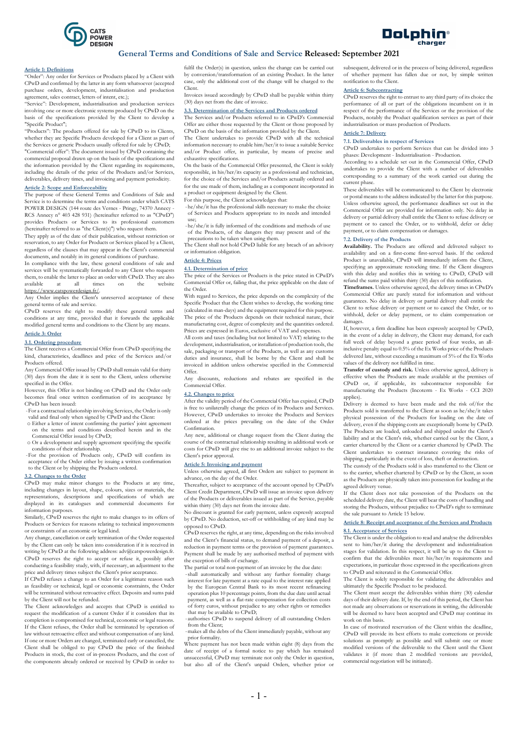



# General Terms and Conditions of Sale and Service Released: September 2021

#### Article 1: Definitions

"Order": Any order for Services or Products placed by a Client with CPwD and confirmed by the latter in any form whatsoever (accepted purchase orders, development, industrialisation and production agreement, sales contract, letters of intent, etc.);

"Service": Development, industrialisation and production services involving one or more electronic systems produced by CPwD on the basis of the specifications provided by the Client to develop a "Specific Product";

"Products": The products offered for sale by CPwD to its Clients, whether they are Specific Products developed for a Client as part of the Services or generic Products usually offered for sale by CPwD; "Commercial offer": The document issued by CPwD containing the commercial proposal drawn up on the basis of the specifications and the information provided by the Client regarding its requirements, including the details of the price of the Products and/or Services, deliverables, delivery times, and invoicing and payment periodicity.

# Article 2: Scope and Enforceability

The purpose of these General Terms and Conditions of Sale and Service is to determine the terms and conditions under which CATS POWER DESIGN (144 route des Vernes - Pringy, 74370 Annecy RCS Annecy n° 403 428 931) (hereinafter referred to as "CPwD") provides Products or Services to its professional customers (hereinafter referred to as "the  $Client(s)$ ") who request them.

They apply as of the date of their publication, without restriction or reservation, to any Order for Products or Services placed by a Client, regardless of the clauses that may appear in the Client's commercial documents, and notably in its general conditions of purchase.

In compliance with the law, these general conditions of sale and services will be systematically forwarded to any Client who requests them, to enable the latter to place an order with CPwD. They are also available at all times on the website https://www.catspowerdesign.fr/.

Any Order implies the Client's unreserved acceptance of these general terms of sale and service.

CPwD reserves the right to modify these general terms and conditions at any time, provided that it forwards the applicable modified general terms and conditions to the Client by any means.

# Article 3: Order

### 3.1. Ordering procedure

The Client receives a Commercial Offer from CPwD specifying the kind, characteristics, deadlines and price of the Services and/or Products offered.

Any Commercial Offer issued by CPwD shall remain valid for thirty (30) days from the date it is sent to the Client, unless otherwise specified in the Offer.

However, this Offer is not binding on CPwD and the Order only becomes final once written confirmation of its acceptance by CPwD has been issued:

-For a contractual relationship involving Services, the Order is only valid and final only when signed by CPwD and the Client:

- o Either a letter of intent confirming the parties' joint agreement on the terms and conditions described herein and in the Commercial Offer issued by CPwD;
- o Or a development and supply agreement specifying the specific conditions of their relationship.
- -For the provision of Products only, CPwD will confirm its acceptance of the Order either by issuing a written confirmation to the Client or by shipping the Products ordered.

#### 3.2. Changes to the Order

CPwD may make minor changes to the Products at any time, including changes in layout, shape, colours, sizes or materials, the representations, descriptions and specifications of which are displayed in its catalogues and commercial documents for information purposes.

Similarly, CPwD reserves the right to make changes to its offers of Products or Services for reasons relating to technical improvements or constraints of an economic or legal kind.

Any change, cancellation or early termination of the Order requested by the Client can only be taken into consideration if it is received in writing by CPwD at the following address: adv@catspowerdesign.fr. CPwD reserves the right to accept or refuse it, possibly after conducting a feasibility study, with, if necessary, an adjustment to the price and delivery times subject the Client's prior acceptance. If CPwD refuses a change to an Order for a legitimate reason such

as feasibility or technical, legal or economic constraints, the Order will be terminated without retroactive effect. Deposits and sums paid by the Client will not be refunded.

The Client acknowledges and accepts that CPwD is entitled to request the modification of a current Order if it considers that its completion is compromised for technical, economic or legal reasons. If the Client refuses, the Order shall be terminated by operation of law without retroactive effect and without compensation of any kind. If one or more Orders are changed, terminated early or cancelled, the Client shall be obliged to pay CPwD the price of the finished Products in stock, the cost of in-process Products, and the cost of the components already ordered or received by CPwD in order to fulfil the Order(s) in question, unless the change can be carried out by conversion/transformation of an existing Product. In the latter case, only the additional cost of the change will be charged to the Client.

Invoices issued accordingly by CPwD shall be payable within thirty (30) days net from the date of invoice.

## 3.3. Determination of the Services and Products ordered

The Services and/or Products referred to in CPwD's Commercial Offer are either those requested by the Client or those proposed by CPwD on the basis of the information provided by the Client.

The Client undertakes to provide CPwD with all the technical information necessary to enable him/her/it to issue a suitable Service and/or Product offer, in particular, by means of precise and exhaustive specifications.

On the basis of the Commercial Offer presented, the Client is solely responsible, in his/her/its capacity as a professional and technician, for the choice of the Services and/or Products actually ordered and for the use made of them, including as a component incorporated in a product or equipment designed by the Client.

For this purpose, the Client acknowledges that:

-he/she/it has the professional skills necessary to make the choice of Services and Products appropriate to its needs and intended

use; -he/she/it is fully informed of the conditions and methods of use of the Products, of the dangers they may present and of the

precautions to be taken when using them. The Client shall not hold CPwD liable for any breach of an advisory or information obligation.

# Article 4: Prices

### 4.1. Determination of price

The price of the Services or Products is the price stated in CPwD's Commercial Offer or, failing that, the price applicable on the date of the Order.

With regard to Services, the price depends on the complexity of the Specific Product that the Client wishes to develop, the working time (calculated in man-days) and the equipment required for this purpose. The price of the Products depends on their technical nature, their manufacturing cost, degree of complexity and the quantities ordered. Prices are expressed in Euros, exclusive of VAT and expenses.

All costs and taxes (including but not limited to VAT) relating to the development, industrialisation, or installation of production tools, the sale, packaging or transport of the Products, as well as any customs duties and insurance, shall be borne by the Client and shall be invoiced in addition unless otherwise specified in the Commercial Offer.

Any discounts, reductions and rebates are specified in the Commercial Offer.

## 4.2. Changes to price

After the validity period of the Commercial Offer has expired, CPwD is free to unilaterally change the prices of its Products and Services. However, CPwD undertakes to invoice the Products and Services ordered at the prices prevailing on the date of the Order Confirmation.

Any new, additional or change request from the Client during the course of the contractual relationship resulting in additional work or costs for CPwD will give rise to an additional invoice subject to the Client's prior approval.

#### Article 5: Invoicing and payment

Unless otherwise agreed, all first Orders are subject to payment in advance, on the day of the Order.

Thereafter, subject to acceptance of the account opened by CPwD's Client Credit Department, CPwD will issue an invoice upon delivery of the Products or deliverables issued as part of the Service, payable within thirty (30) days net from the invoice date.

No discount is granted for early payment, unless expressly accepted by CPwD. No deduction, set-off or withholding of any kind may be opposed to CPwD.

 $\widehat{\text{CPw}}$ D reserves the right, at any time, depending on the risks involved and the Client's financial status, to demand payment of a deposit, a reduction in payment terms or the provision of payment guarantees. Payment shall be made by any authorised method of payment with the exception of bills of exchange.

The partial or total non-payment of an invoice by the due date:

-shall automatically and without any further formality charge<br>interest for late payment at a rate equal to the interest rate applied  $\frac{1}{2}$  interest for late payment at a rate equal to the interest rate by the European Central Bank to its most recent refinancing operation plus 10 percentage points, from the due date until actual payment, as well as a flat-rate compensation for collection costs of forty euros, without prejudice to any other rights or remedies that may be available to CPwD;

- authorises CPwD to suspend delivery of all outstanding Orders from the Client; -makes all the debts of the Client immediately payable, without any

prior formality. Where payment has not been made within eight (8) days from the

date of receipt of a formal notice to pay which has remained unsuccessful, CPwD may terminate not only the Order in question, but also all of the Client's unpaid Orders, whether prior or subsequent, delivered or in the process of being delivered, regardless of whether payment has fallen due or not, by simple written notification to the Client.

### Article 6: Subcontracting

CPwD reserves the right to entrust to any third party of its choice the performance of all or part of the obligations incumbent on it in respect of the performance of the Services or the provision of the Products, notably the Product qualification services as part of their industrialisation or mass production of Products.

# Article 7: Delivery

# 7.1. Deliverables in respect of Services

CPwD undertakes to perform Services that can be divided into 3 phases: Development - Industrialisation - Production.

According to a schedule set out in the Commercial Offer, CPwD undertakes to provide the Client with a number of deliverables corresponding to a summary of the work carried out during the current phase.

These deliverables will be communicated to the Client by electronic or postal means to the address indicated by the latter for this purpose. Unless otherwise agreed, the performance deadlines set out in the Commercial Offer are provided for information only. No delay in delivery or partial delivery shall entitle the Client to refuse delivery or payment or to cancel the Order, or to withhold, defer or delay payment, or to claim compensation or damages.

#### 7.2. Delivery of the Products

Availability. The Products are offered and delivered subject to availability and on a first-come first-served basis. If the ordered Product is unavailable, CPwD will immediately inform the Client specifying an approximate restocking time. If the Client disagrees with this delay and notifies this in writing to CPwD, CPwD will refund the sums paid within thirty (30) days of this notification.

Timeframes. Unless otherwise agreed, the delivery times in CPwD's Commercial Offer are purely stated for information and without guarantees. No delay in delivery or partial delivery shall entitle the Client to refuse delivery or payment or to cancel the Order, or to withhold, defer or delay payment, or to claim compensation or damages.

If, however, a firm deadline has been expressly accepted by CPwD, in the event of a delay in delivery, the Client may demand, for each full week of delay beyond a grace period of four weeks, an allinclusive penalty equal to 0.5% of the Ex Works price of the Products delivered late, without exceeding a maximum of 5% of the Ex Works values of the delivery not fulfilled in time.

Transfer of custody and risk. Unless otherwise agreed, delivery is effective when the Products are made available at the premises of CPwD or, if applicable, its subcontractor responsible for manufacturing the Products (Incoterm - Ex Works - CCI 2020 applies).

Delivery is deemed to have been made and the risk of/for the Products sold is transferred to the Client as soon as he/she/it takes physical possession of the Products for loading on the date of delivery, even if the shipping costs are exceptionally borne by CPwD. The Products are loaded, unloaded and shipped under the Client's liability and at the Client's risk, whether carried out by the Client, a carrier chartered by the Client or a carrier chartered by CPwD. The Client undertakes to contract insurance covering the risks of shipping, particularly in the event of loss, theft or destruction.

The custody of the Products sold is also transferred to the Client or to the carrier, whether chartered by CPwD or by the Client, as soon as the Products are physically taken into possession for loading at the agreed delivery venue.

If the Client does not take possession of the Products on the scheduled delivery date, the Client will bear the costs of handling and storing the Products, without prejudice to CPwD's right to terminate the sale pursuant to Article 15 below.

# Article 8: Receipt and acceptance of the Services and Products 8.1. Acceptance of Services

The Client is under the obligation to read and analyse the deliverables sent to him/her/it during the development and industrialisation stages for validation. In this respect, it will be up to the Client to confirm that the deliverables meet his/her/its requirements and expectations, in particular those expressed in the specifications given to CPwD and reiterated in the Commercial Offer.

The Client is solely responsible for validating the deliverables and ultimately the Specific Product to be produced.

The Client must accept the deliverables within thirty (30) calendar days of their delivery date. If, by the end of this period, the Client has not made any observations or reservations in writing, the deliverable will be deemed to have been accepted and CPwD may continue its work on this basis.

In case of motivated reservation of the Client within the deadline, CPwD will provide its best efforts to make corrections or provide solutions as promptly as possible and will submit one or more modified versions of the deliverable to the Client until the Client validates it (if more than 2 modified versions are provided, commercial negotiation will be initiated).